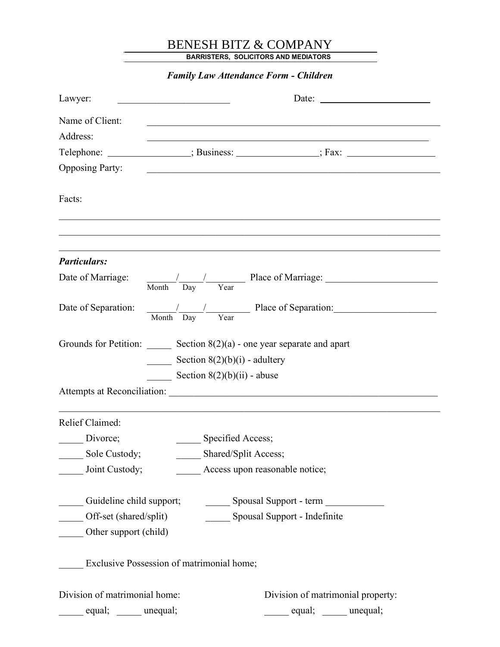## BENESH BITZ & COMPANY

BARRISTERS, SOLICITORS AND MEDIATORS

Family Law Attendance Form - Children Lawyer: \_\_\_\_\_\_\_\_\_\_\_\_\_\_\_\_\_\_\_\_\_\_\_ Date: Name of Client: Address: Telephone: ; Business: ; Fax: Opposing Party: Facts: Particulars: Date of Marriage:  $\frac{1}{\sqrt{1-\frac{1}{2}}}$  Place of Marriage: Month Day Year Date of Separation:  $\frac{1}{\sqrt{1-\frac{1}{2}}}$  Place of Separation: Month Day Year Grounds for Petition: Section  $8(2)(a)$  - one year separate and apart  $\frac{\text{Section } 8(2)(b)(i)}{i}$  - adultery Section  $8(2)(b)(ii)$  - abuse Attempts at Reconciliation: \_\_\_\_\_\_\_\_\_\_\_\_\_\_\_\_\_\_\_\_\_\_\_\_\_\_\_\_\_\_\_\_\_\_\_\_\_\_\_\_\_\_\_\_\_\_\_\_\_\_\_\_\_\_\_  $\mathcal{L}_\mathcal{L} = \mathcal{L}_\mathcal{L} = \mathcal{L}_\mathcal{L} = \mathcal{L}_\mathcal{L} = \mathcal{L}_\mathcal{L} = \mathcal{L}_\mathcal{L} = \mathcal{L}_\mathcal{L} = \mathcal{L}_\mathcal{L} = \mathcal{L}_\mathcal{L} = \mathcal{L}_\mathcal{L} = \mathcal{L}_\mathcal{L} = \mathcal{L}_\mathcal{L} = \mathcal{L}_\mathcal{L} = \mathcal{L}_\mathcal{L} = \mathcal{L}_\mathcal{L} = \mathcal{L}_\mathcal{L} = \mathcal{L}_\mathcal{L}$ Relief Claimed: Divorce; Specified Access; Sole Custody; Shared/Split Access; \_\_\_\_\_ Joint Custody; \_\_\_\_\_ Access upon reasonable notice; \_\_\_\_\_ Guideline child support; \_\_\_\_\_ Spousal Support - term \_\_\_\_\_\_\_\_\_\_\_\_ Off-set (shared/split) Spousal Support - Indefinite \_\_\_\_\_ Other support (child) Exclusive Possession of matrimonial home; Division of matrimonial home: Division of matrimonial property:

equal; equal; equal; equal; equal; equal; equal; equal; equal; equal; equal; equal;  $\mathbb{E}$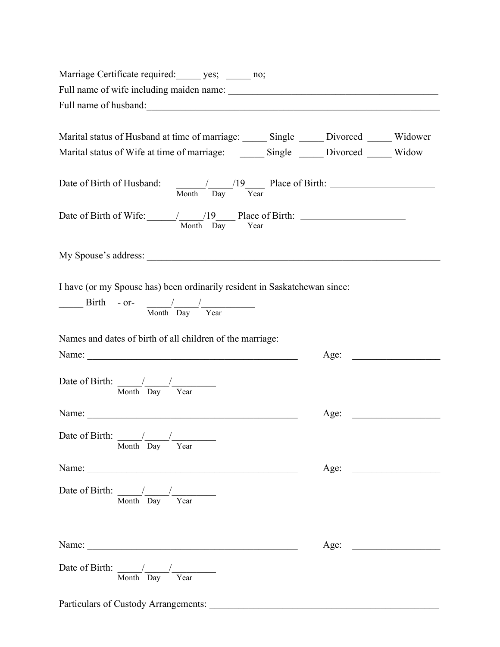| Marriage Certificate required: ______ yes; ______ no;                                                                                                                                                                                                                                                                                                                                                                |      |  |
|----------------------------------------------------------------------------------------------------------------------------------------------------------------------------------------------------------------------------------------------------------------------------------------------------------------------------------------------------------------------------------------------------------------------|------|--|
| Full name of wife including maiden name: www.communication.com/www.communication.com/www.communication.com/www                                                                                                                                                                                                                                                                                                       |      |  |
|                                                                                                                                                                                                                                                                                                                                                                                                                      |      |  |
|                                                                                                                                                                                                                                                                                                                                                                                                                      |      |  |
| Marital status of Husband at time of marriage: _______ Single _______ Divorced ______ Widower                                                                                                                                                                                                                                                                                                                        |      |  |
|                                                                                                                                                                                                                                                                                                                                                                                                                      |      |  |
|                                                                                                                                                                                                                                                                                                                                                                                                                      |      |  |
| Date of Birth of Wife: $\frac{19}{\text{Month}}$ $\frac{19}{\text{Day}}$ Place of Birth:                                                                                                                                                                                                                                                                                                                             |      |  |
|                                                                                                                                                                                                                                                                                                                                                                                                                      |      |  |
| I have (or my Spouse has) been ordinarily resident in Saskatchewan since:                                                                                                                                                                                                                                                                                                                                            |      |  |
|                                                                                                                                                                                                                                                                                                                                                                                                                      |      |  |
| $\frac{1}{\sqrt{1-\frac{1}{2}}}\int \frac{1}{\sqrt{1-\frac{1}{2}}\sqrt{1-\frac{1}{2}}\sqrt{1-\frac{1}{2}}\sqrt{1-\frac{1}{2}}\sqrt{1-\frac{1}{2}}\sqrt{1-\frac{1}{2}}\sqrt{1-\frac{1}{2}}\sqrt{1-\frac{1}{2}}\sqrt{1-\frac{1}{2}}\sqrt{1-\frac{1}{2}}\sqrt{1-\frac{1}{2}}\sqrt{1-\frac{1}{2}}\sqrt{1-\frac{1}{2}}\sqrt{1-\frac{1}{2}}\sqrt{1-\frac{1}{2}}\sqrt{1-\frac{1}{2}}\sqrt{1-\frac{1}{2}}\sqrt{1-\frac{1}{2$ |      |  |
| Names and dates of birth of all children of the marriage:                                                                                                                                                                                                                                                                                                                                                            |      |  |
| Name:                                                                                                                                                                                                                                                                                                                                                                                                                | Age: |  |
|                                                                                                                                                                                                                                                                                                                                                                                                                      |      |  |
| Date of Birth: $\frac{1}{\text{Month}} \frac{1}{\text{Day}}$                                                                                                                                                                                                                                                                                                                                                         |      |  |
|                                                                                                                                                                                                                                                                                                                                                                                                                      | Age: |  |
| Date of Birth: $\frac{1}{2}$ /<br>Month Day Year                                                                                                                                                                                                                                                                                                                                                                     |      |  |
|                                                                                                                                                                                                                                                                                                                                                                                                                      | Age: |  |
| Date of Birth: $\frac{1}{\text{Month}} \frac{1}{\text{Day}}$                                                                                                                                                                                                                                                                                                                                                         |      |  |
|                                                                                                                                                                                                                                                                                                                                                                                                                      | Age: |  |
| Date of Birth: $\frac{1}{\text{Month}} \frac{1}{\text{Day}}$                                                                                                                                                                                                                                                                                                                                                         |      |  |
| Particulars of Custody Arrangements:                                                                                                                                                                                                                                                                                                                                                                                 |      |  |